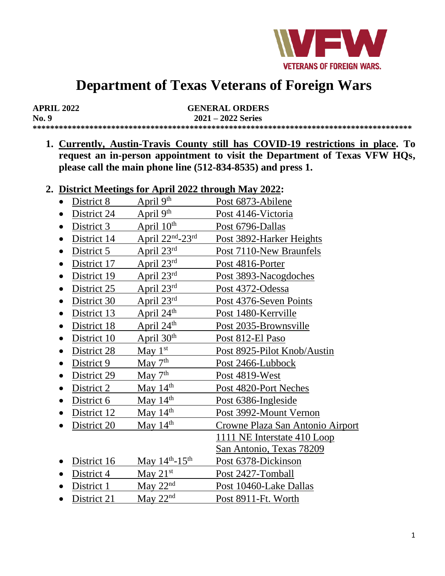

# **Department of Texas Veterans of Foreign Wars**

| <b>APRIL 2022</b> | <b>GENERAL ORDERS</b> |
|-------------------|-----------------------|
| No. 9             | $2021 - 2022$ Series  |
|                   |                       |

**1. Currently, Austin-Travis County still has COVID-19 restrictions in place. To request an in-person appointment to visit the Department of Texas VFW HQs, please call the main phone line (512-834-8535) and press 1.**

#### **2. District Meetings for April 2022 through May 2022:**

- District 8 April  $9<sup>th</sup>$  Post 6873-Abilene
- District 24 April  $9<sup>th</sup>$  Post 4146-Victoria
- District 3 April  $10^{th}$  Post 6796-Dallas
- District 14 April  $22<sup>nd</sup> 23<sup>rd</sup>$ Post 3892-Harker Heights
- District 5 April 23<sup>rd</sup> Post 7110-New Braunfels
- District 17 April 23<sup>rd</sup> Post 4816-Porter<br>• District 19 April 23<sup>rd</sup> Post 3893-Nacogo
- District 19 April 23<sup>rd</sup> Post 3893-Nacogdoches
- District  $25$  April  $23<sup>rd</sup>$  Post 4372-Odessa
- District 30 April 23<sup>rd</sup> Post 4376-Seven Points
- District 13 April  $24<sup>th</sup>$  Post 1480-Kerrville
- District 18 April  $24<sup>th</sup>$  Post 2035-Brownsville
- District 10 April  $30<sup>th</sup>$  Post 812-El Paso
- District 28 May 1<sup>st</sup> Post 8925-Pilot Knob/Austin
- District 9 May  $7<sup>th</sup>$  Post 2466-Lubbock
- District 29 May  $7<sup>th</sup>$  Post 4819-West
- District 2 May  $14<sup>th</sup>$  Post 4820-Port Neches
- District 6 May  $14<sup>th</sup>$  Post 6386-Ingleside
- District 12 May 14<sup>th</sup> Post 3992-Mount Vernon
- District 20 May 14<sup>th</sup> Crowne Plaza San Antonio Airport
	- 1111 NE Interstate 410 Loop San Antonio, Texas 78209
- District 16 May  $14^{\text{th}}$ -15<sup>th</sup> Post 6378-Dickinson
- District 4 May  $21^{st}$  Post 2427-Tomball
- District 1 May  $22<sup>nd</sup>$  Post 10460-Lake Dallas
- District 21 May  $22<sup>nd</sup>$  Post 8911-Ft. Worth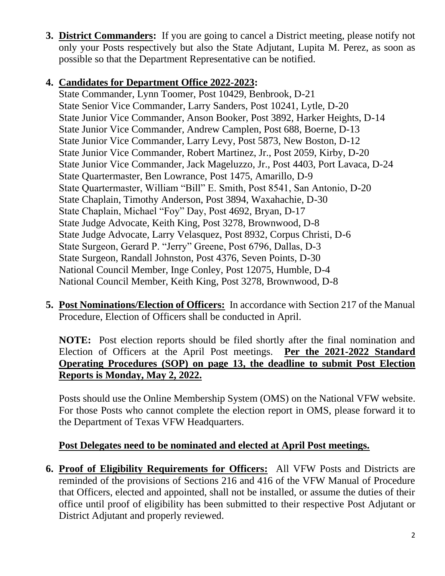**3. District Commanders:** If you are going to cancel a District meeting, please notify not only your Posts respectively but also the State Adjutant, Lupita M. Perez, as soon as possible so that the Department Representative can be notified.

### **4. Candidates for Department Office 2022-2023:**

State Commander, Lynn Toomer, Post 10429, Benbrook, D-21 State Senior Vice Commander, Larry Sanders, Post 10241, Lytle, D-20 State Junior Vice Commander, Anson Booker, Post 3892, Harker Heights, D-14 State Junior Vice Commander, Andrew Camplen, Post 688, Boerne, D-13 State Junior Vice Commander, Larry Levy, Post 5873, New Boston, D-12 State Junior Vice Commander, Robert Martinez, Jr., Post 2059, Kirby, D-20 State Junior Vice Commander, Jack Mageluzzo, Jr., Post 4403, Port Lavaca, D-24 State Quartermaster, Ben Lowrance, Post 1475, Amarillo, D-9 State Quartermaster, William "Bill" E. Smith, Post 8541, San Antonio, D-20 State Chaplain, Timothy Anderson, Post 3894, Waxahachie, D-30 State Chaplain, Michael "Foy" Day, Post 4692, Bryan, D-17 State Judge Advocate, Keith King, Post 3278, Brownwood, D-8 State Judge Advocate, Larry Velasquez, Post 8932, Corpus Christi, D-6 State Surgeon, Gerard P. "Jerry" Greene, Post 6796, Dallas, D-3 State Surgeon, Randall Johnston, Post 4376, Seven Points, D-30 National Council Member, Inge Conley, Post 12075, Humble, D-4 National Council Member, Keith King, Post 3278, Brownwood, D-8

**5. Post Nominations/Election of Officers:** In accordance with Section 217 of the Manual Procedure, Election of Officers shall be conducted in April.

**NOTE:** Post election reports should be filed shortly after the final nomination and Election of Officers at the April Post meetings. **Per the 2021-2022 Standard Operating Procedures (SOP) on page 13, the deadline to submit Post Election Reports is Monday, May 2, 2022.**

Posts should use the Online Membership System (OMS) on the National VFW website. For those Posts who cannot complete the election report in OMS, please forward it to the Department of Texas VFW Headquarters.

## **Post Delegates need to be nominated and elected at April Post meetings.**

**6. Proof of Eligibility Requirements for Officers:** All VFW Posts and Districts are reminded of the provisions of Sections 216 and 416 of the VFW Manual of Procedure that Officers, elected and appointed, shall not be installed, or assume the duties of their office until proof of eligibility has been submitted to their respective Post Adjutant or District Adjutant and properly reviewed.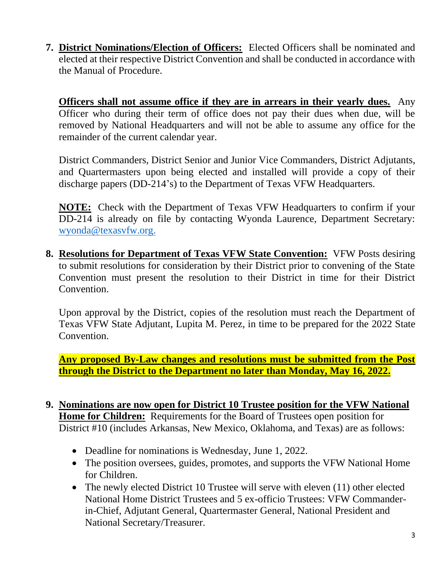**7. District Nominations/Election of Officers:** Elected Officers shall be nominated and elected at their respective District Convention and shall be conducted in accordance with the Manual of Procedure.

**Officers shall not assume office if they are in arrears in their yearly dues.** Any Officer who during their term of office does not pay their dues when due, will be removed by National Headquarters and will not be able to assume any office for the remainder of the current calendar year.

District Commanders, District Senior and Junior Vice Commanders, District Adjutants, and Quartermasters upon being elected and installed will provide a copy of their discharge papers (DD-214's) to the Department of Texas VFW Headquarters.

**NOTE:** Check with the Department of Texas VFW Headquarters to confirm if your DD-214 is already on file by contacting Wyonda Laurence, Department Secretary: [wyonda@texasvfw.org.](mailto:wyonda@texasvfw.org)

**8. Resolutions for Department of Texas VFW State Convention:** VFW Posts desiring to submit resolutions for consideration by their District prior to convening of the State Convention must present the resolution to their District in time for their District Convention.

Upon approval by the District, copies of the resolution must reach the Department of Texas VFW State Adjutant, Lupita M. Perez, in time to be prepared for the 2022 State Convention.

**Any proposed By-Law changes and resolutions must be submitted from the Post through the District to the Department no later than Monday, May 16, 2022.**

- **9. Nominations are now open for District 10 Trustee position for the VFW National Home for Children:** Requirements for the Board of Trustees open position for District #10 (includes Arkansas, New Mexico, Oklahoma, and Texas) are as follows:
	- Deadline for nominations is Wednesday, June 1, 2022.
	- The position oversees, guides, promotes, and supports the VFW National Home for Children.
	- The newly elected District 10 Trustee will serve with eleven (11) other elected National Home District Trustees and 5 ex-officio Trustees: VFW Commanderin-Chief, Adjutant General, Quartermaster General, National President and National Secretary/Treasurer.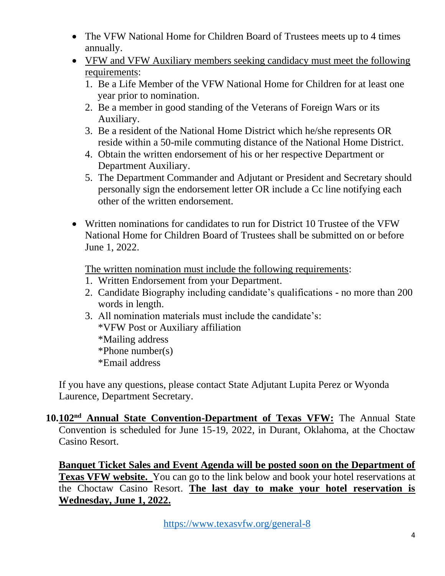- The VFW National Home for Children Board of Trustees meets up to 4 times annually.
- VFW and VFW Auxiliary members seeking candidacy must meet the following requirements:
	- 1. Be a Life Member of the VFW National Home for Children for at least one year prior to nomination.
	- 2. Be a member in good standing of the Veterans of Foreign Wars or its Auxiliary.
	- 3. Be a resident of the National Home District which he/she represents OR reside within a 50-mile commuting distance of the National Home District.
	- 4. Obtain the written endorsement of his or her respective Department or Department Auxiliary.
	- 5. The Department Commander and Adjutant or President and Secretary should personally sign the endorsement letter OR include a Cc line notifying each other of the written endorsement.
- Written nominations for candidates to run for District 10 Trustee of the VFW National Home for Children Board of Trustees shall be submitted on or before June 1, 2022.

The written nomination must include the following requirements:

- 1. Written Endorsement from your Department.
- 2. Candidate Biography including candidate's qualifications no more than 200 words in length.
- 3. All nomination materials must include the candidate's: \*VFW Post or Auxiliary affiliation \*Mailing address \*Phone number(s) \*Email address

If you have any questions, please contact State Adjutant Lupita Perez or Wyonda Laurence, Department Secretary.

#### **10.102nd Annual State Convention-Department of Texas VFW:** The Annual State Convention is scheduled for June 15-19, 2022, in Durant, Oklahoma, at the Choctaw Casino Resort.

**Banquet Ticket Sales and Event Agenda will be posted soon on the Department of Texas VFW website.** You can go to the link below and book your hotel reservations at the Choctaw Casino Resort. **The last day to make your hotel reservation is Wednesday, June 1, 2022.**